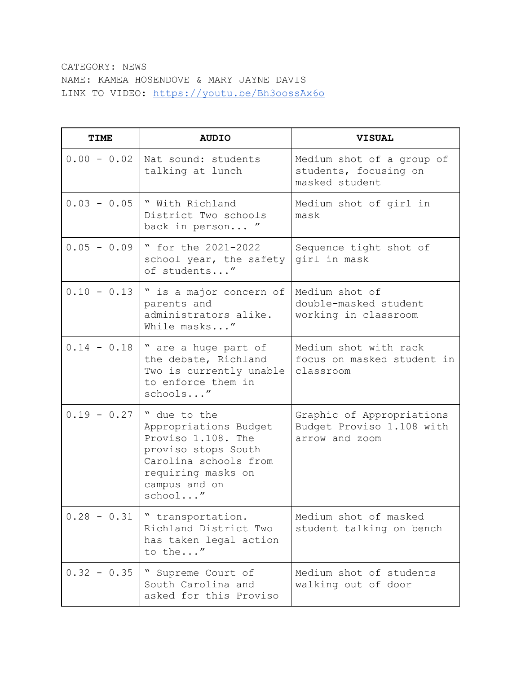## CATEGORY: NEWS NAME: KAMEA HOSENDOVE & MARY JAYNE DAVIS LINK TO VIDEO: <https://youtu.be/Bh3oossAx6o>

| <b>TIME</b>   | <b>AUDIO</b>                                                                                                                                                  | <b>VISUAL</b>                                                            |
|---------------|---------------------------------------------------------------------------------------------------------------------------------------------------------------|--------------------------------------------------------------------------|
| $0.00 - 0.02$ | Nat sound: students<br>talking at lunch                                                                                                                       | Medium shot of a group of<br>students, focusing on<br>masked student     |
| $0.03 - 0.05$ | " With Richland<br>District Two schools<br>back in person "                                                                                                   | Medium shot of girl in<br>mask                                           |
| $0.05 - 0.09$ | " for the 2021-2022<br>school year, the safety<br>of students"                                                                                                | Sequence tight shot of<br>girl in mask                                   |
| $0.10 - 0.13$ | " is a major concern of<br>parents and<br>administrators alike.<br>While masks"                                                                               | Medium shot of<br>double-masked student<br>working in classroom          |
| $0.14 - 0.18$ | " are a huge part of<br>the debate, Richland<br>Two is currently unable<br>to enforce them in<br>schools"                                                     | Medium shot with rack<br>focus on masked student in<br>classroom         |
| $0.19 - 0.27$ | " due to the<br>Appropriations Budget<br>Proviso 1.108. The<br>proviso stops South<br>Carolina schools from<br>requiring masks on<br>campus and on<br>school" | Graphic of Appropriations<br>Budget Proviso 1.108 with<br>arrow and zoom |
| $0.28 - 0.31$ | " transportation.<br>Richland District Two<br>has taken legal action<br>to the"                                                                               | Medium shot of masked<br>student talking on bench                        |
| $0.32 - 0.35$ | " Supreme Court of<br>South Carolina and<br>asked for this Proviso                                                                                            | Medium shot of students<br>walking out of door                           |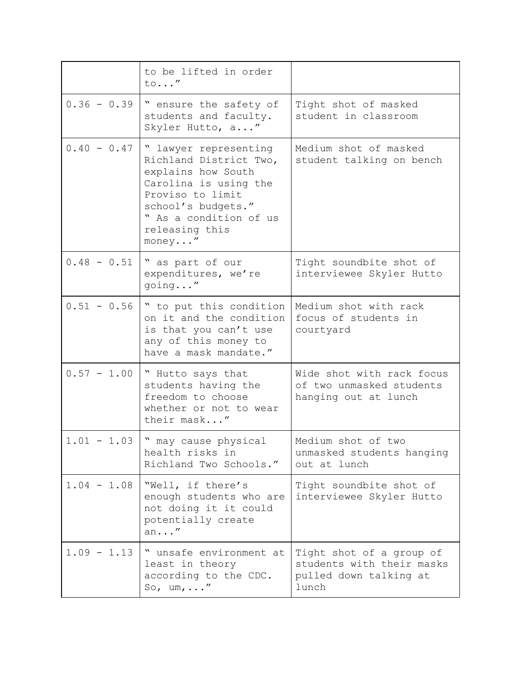|               | to be lifted in order<br>to"                                                                                                                                                                    |                                                                                          |
|---------------|-------------------------------------------------------------------------------------------------------------------------------------------------------------------------------------------------|------------------------------------------------------------------------------------------|
| $0.36 - 0.39$ | " ensure the safety of<br>students and faculty.<br>Skyler Hutto, a"                                                                                                                             | Tight shot of masked<br>student in classroom                                             |
| $0.40 - 0.47$ | " lawyer representing<br>Richland District Two,<br>explains how South<br>Carolina is using the<br>Proviso to limit<br>school's budgets."<br>" As a condition of us<br>releasing this<br>money'' | Medium shot of masked<br>student talking on bench                                        |
| $0.48 - 0.51$ | " as part of our<br>expenditures, we're<br>going"                                                                                                                                               | Tight soundbite shot of<br>interviewee Skyler Hutto                                      |
| $0.51 - 0.56$ | " to put this condition<br>on it and the condition<br>is that you can't use<br>any of this money to<br>have a mask mandate."                                                                    | Medium shot with rack<br>focus of students in<br>courtyard                               |
| $0.57 - 1.00$ | " Hutto says that<br>students having the<br>freedom to choose<br>whether or not to wear<br>their mask"                                                                                          | Wide shot with rack focus<br>of two unmasked students<br>hanging out at lunch            |
| $1.01 - 1.03$ | " may cause physical<br>health risks in<br>Richland Two Schools."                                                                                                                               | Medium shot of two<br>unmasked students hanging<br>out at lunch                          |
| $1.04 - 1.08$ | "Well, if there's<br>enough students who are<br>not doing it it could<br>potentially create<br>an''                                                                                             | Tight soundbite shot of<br>interviewee Skyler Hutto                                      |
| $1.09 - 1.13$ | " unsafe environment at<br>least in theory<br>according to the CDC.<br>So, $um, \ldots''$                                                                                                       | Tight shot of a group of<br>students with their masks<br>pulled down talking at<br>lunch |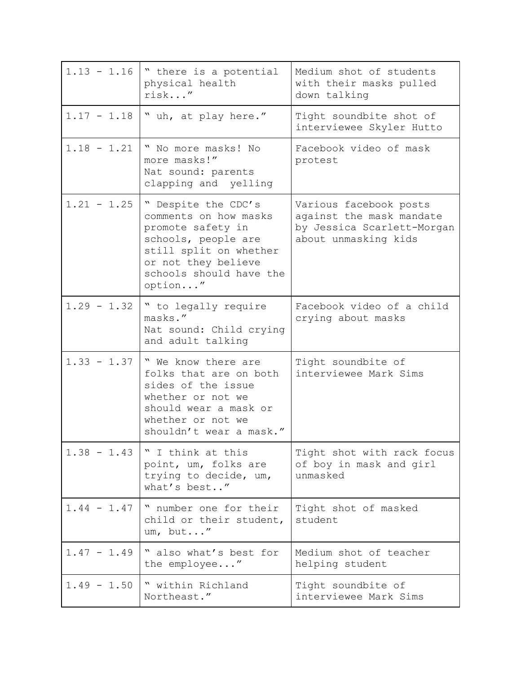| $1.13 - 1.16$ | " there is a potential<br>physical health<br>risk"                                                                                                                              | Medium shot of students<br>with their masks pulled<br>down talking                                       |
|---------------|---------------------------------------------------------------------------------------------------------------------------------------------------------------------------------|----------------------------------------------------------------------------------------------------------|
| $1.17 - 1.18$ | " uh, at play here."                                                                                                                                                            | Tight soundbite shot of<br>interviewee Skyler Hutto                                                      |
| $1.18 - 1.21$ | " No more masks! No<br>more masks!"<br>Nat sound: parents<br>clapping and yelling                                                                                               | Facebook video of mask<br>protest                                                                        |
| $1.21 - 1.25$ | " Despite the CDC's<br>comments on how masks<br>promote safety in<br>schools, people are<br>still split on whether<br>or not they believe<br>schools should have the<br>option" | Various facebook posts<br>against the mask mandate<br>by Jessica Scarlett-Morgan<br>about unmasking kids |
| $1.29 - 1.32$ | " to legally require<br>masks."<br>Nat sound: Child crying<br>and adult talking                                                                                                 | Facebook video of a child<br>crying about masks                                                          |
| $1.33 - 1.37$ | " We know there are<br>folks that are on both<br>sides of the issue<br>whether or not we<br>should wear a mask or<br>whether or not we<br>shouldn't wear a mask."               | Tight soundbite of<br>interviewee Mark Sims                                                              |
| $1.38 - 1.43$ | " I think at this<br>point, um, folks are<br>trying to decide, um,<br>what's best"                                                                                              | Tight shot with rack focus<br>of boy in mask and girl<br>unmasked                                        |
| $1.44 - 1.47$ | " number one for their<br>child or their student,<br>um, but"                                                                                                                   | Tight shot of masked<br>student                                                                          |
| $1.47 - 1.49$ | " also what's best for<br>the employee"                                                                                                                                         | Medium shot of teacher<br>helping student                                                                |
| $1.49 - 1.50$ | " within Richland<br>Northeast."                                                                                                                                                | Tight soundbite of<br>interviewee Mark Sims                                                              |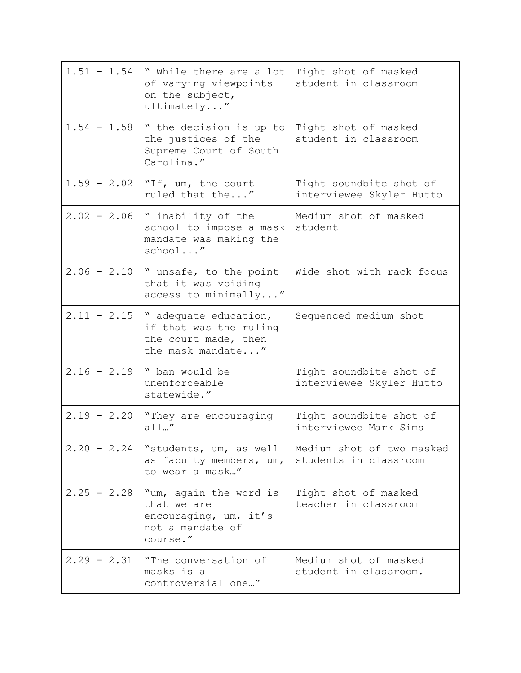| $1.51 - 1.54$ | " While there are a lot<br>of varying viewpoints<br>on the subject,<br>ultimately''            | Tight shot of masked<br>student in classroom        |
|---------------|------------------------------------------------------------------------------------------------|-----------------------------------------------------|
| $1.54 - 1.58$ | " the decision is up to<br>the justices of the<br>Supreme Court of South<br>Carolina."         | Tight shot of masked<br>student in classroom        |
|               | 1.59 - 2.02   "If, um, the court<br>ruled that the"                                            | Tight soundbite shot of<br>interviewee Skyler Hutto |
| $2.02 - 2.06$ | " inability of the<br>school to impose a mask<br>mandate was making the<br>school"             | Medium shot of masked<br>student                    |
| $2.06 - 2.10$ | " unsafe, to the point<br>that it was voiding<br>access to minimally"                          | Wide shot with rack focus                           |
| $2.11 - 2.15$ | " adequate education,<br>if that was the ruling<br>the court made, then<br>the mask mandate"   | Sequenced medium shot                               |
| $2.16 - 2.19$ | " ban would be<br>unenforceable<br>statewide."                                                 | Tight soundbite shot of<br>interviewee Skyler Hutto |
| $2.19 - 2.20$ | "They are encouraging<br>all''                                                                 | Tight soundbite shot of<br>interviewee Mark Sims    |
| $2.20 - 2.24$ | "students, um, as well<br>as faculty members, um,<br>to wear a mask"                           | Medium shot of two masked<br>students in classroom  |
| $2.25 - 2.28$ | "um, again the word is<br>that we are<br>encouraging, um, it's<br>not a mandate of<br>course." | Tight shot of masked<br>teacher in classroom        |
| $2.29 - 2.31$ | "The conversation of<br>masks is a<br>controversial one"                                       | Medium shot of masked<br>student in classroom.      |